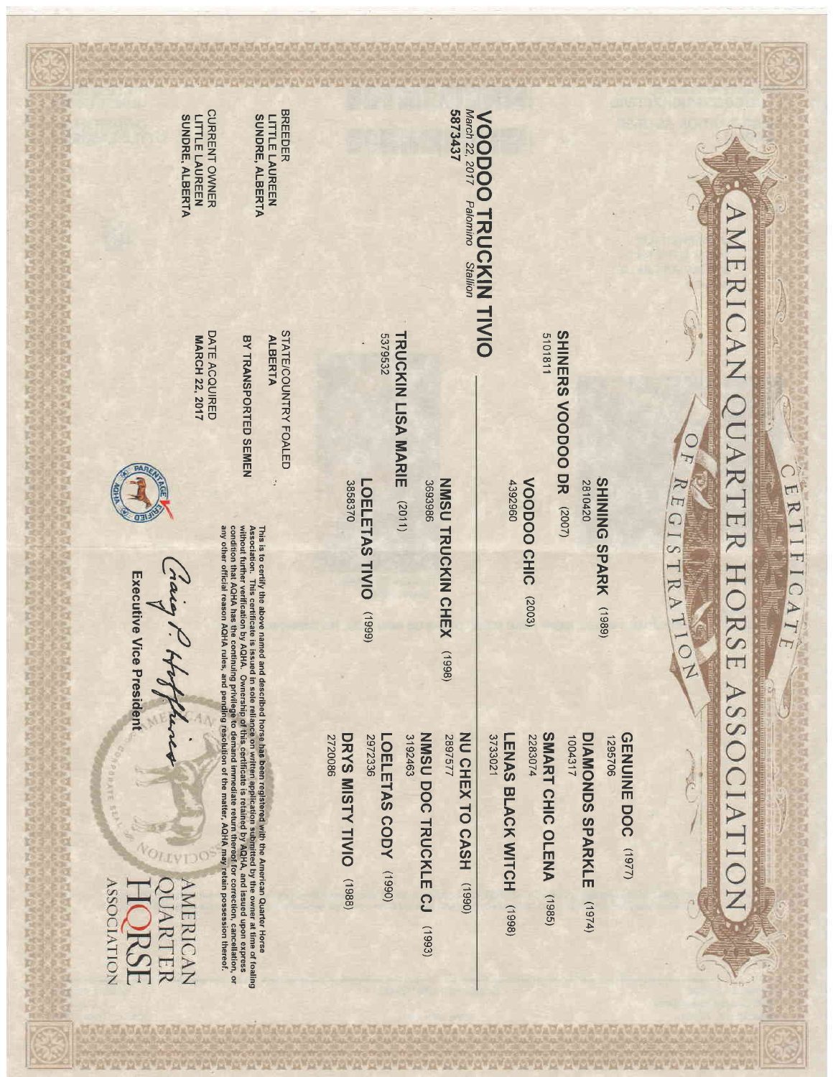

◯

ERTIFICAT

 $\overline{\mathcal{A}}$ 

SHINING SPARK (1989) 2810420

SHINERS VOODOO DR (2007)

5101811

VOODOO CHIC (2003) 4392960

**VOODOO TRUCKIN TIVIO**<br>March 22, 2017 Patomino Stallion

5873437

NMSU TRUCKIN CHEX (1998) 3693986

TRUCKIN LISA MARIE (2011) 5379532

LOELETAS TIVIO 3858370  $(6661)$ 

> GENUINE DOC (1977) 1295706

DIAMONDS SPARKLE 1004317  $(1974)$ 

SMART CHIC OLENA 2283074  $(1985)$ 

LENAS BLACK WITCH (1998) 3733021

NU CHEX TO CASH 2897577  $(0661)$ 

3192463 NMSU DOCTRUCKLE CJ (1993)

2972336 LOELETAS CODY (1990)

DRYS MISTY TIVIO (1988) 2720086

**BREEDER** SUNDRE, ALBERTA **LITTLE LAUREEN** 

CURRENT OWNER SUNDRE, ALBERTA **LITTLE LAUREEN** 

**BY TRANSPORTED SEMEN** 

STATE/COUNTRY FOALED

**ALBERTA** 

DATE ACQUIRED **MARCH 22, 2017** 



This is to certify the above named and described horse has been registered with the American Quarter Horse  $t$  caling Masocian Cuarter Horse froaling presently the American Quarter Horse froaling was certify the Super Con

Executive Vice President

Craig 1

**AMERICAN** PUARTER RS

**VOITATION**